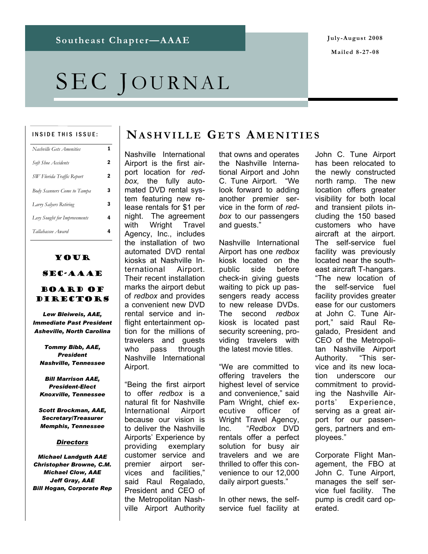# SEC JOURNAL

#### INSIDE THIS ISSUE:

| Nashville Gets Amenities           | 1 |
|------------------------------------|---|
| Soft Shoe Accidents                | 2 |
| SW Florida Traffic Report          | 2 |
| <b>Body Scanners Come to Tampa</b> | 3 |
| Larry Salvers Retiring             | 3 |
| Levy Sought for Improvements       | 4 |
| Tallahassee Award                  |   |

#### Your SEC-AAAE

#### Board of DIRECTORS

*Lew Bleiweis, AAE, Immediate Past President Asheville, North Carolina* 

*Tommy Bibb, AAE, President Nashville, Tennessee* 

*Bill Marrison AAE, President-Elect Knoxville, Tennessee* 

*Scott Brockman, AAE, Secretary/Treasurer Memphis, Tennessee* 

*Directors*

*Michael Landguth AAE Christopher Browne, C.M. Michael Clow, AAE Jeff Gray, AAE Bill Hogan, Corporate Rep* 

#### **NASHVILLE GETS A MENITIES**

Nashville International Airport is the first airport location for *redbox,* the fully automated DVD rental system featuring new release rentals for \$1 per night. The agreement with Wright Travel Agency, Inc., includes the installation of two automated DVD rental kiosks at Nashville International Airport. Their recent installation marks the airport debut of *redbox* and provides a convenient new DVD rental service and inflight entertainment option for the millions of travelers and guests who pass through Nashville International Airport.

"Being the first airport to offer *redbox* is a natural fit for Nashville International Airport because our vision is to deliver the Nashville Airports' Experience by providing exemplary customer service and premier airport services and facilities," said Raul Regalado, President and CEO of the Metropolitan Nashville Airport Authority that owns and operates the Nashville International Airport and John C. Tune Airport. "We look forward to adding another premier service in the form of *redbox* to our passengers and guests."

Nashville International Airport has one *redbox*  kiosk located on the public side before check-in giving guests waiting to pick up passengers ready access to new release DVDs. The second *redbox*  kiosk is located past security screening, providing travelers with the latest movie titles.

"We are committed to offering travelers the highest level of service and convenience," said Pam Wright, chief executive officer of Wright Travel Agency, Inc. "*Redbox* DVD rentals offer a perfect solution for busy air travelers and we are thrilled to offer this convenience to our 12,000 daily airport guests."

In other news, the selfservice fuel facility at John C. Tune Airport has been relocated to the newly constructed north ramp. The new location offers greater visibility for both local and transient pilots including the 150 based customers who have aircraft at the airport. The self-service fuel facility was previously located near the southeast aircraft T-hangars. "The new location of the self-service fuel facility provides greater ease for our customers at John C. Tune Airport," said Raul Regalado, President and CEO of the Metropolitan Nashville Airport Authority. "This service and its new location underscore our commitment to providing the Nashville Airports' Experience, serving as a great airport for our passengers, partners and employees."

Corporate Flight Management, the FBO at John C. Tune Airport, manages the self service fuel facility. The pump is credit card operated.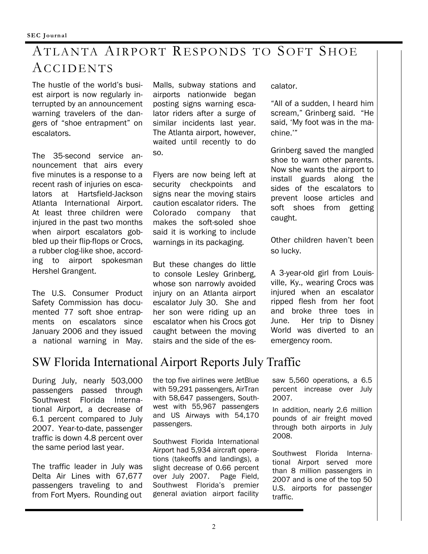# ATLANTA AIRPORT RESPONDS TO SOFT SHOE ACCIDENTS

The hustle of the world's busiest airport is now regularly interrupted by an announcement warning travelers of the dangers of "shoe entrapment" on escalators.

The 35-second service announcement that airs every five minutes is a response to a recent rash of injuries on escalators at Hartsfield-Jackson Atlanta International Airport. At least three children were injured in the past two months when airport escalators gobbled up their flip-flops or Crocs, a rubber clog-like shoe, according to airport spokesman Hershel Grangent.

The U.S. Consumer Product Safety Commission has documented 77 soft shoe entrapments on escalators since January 2006 and they issued a national warning in May.

Malls, subway stations and airports nationwide began posting signs warning escalator riders after a surge of similar incidents last year. The Atlanta airport, however, waited until recently to do so.

Flyers are now being left at security checkpoints and signs near the moving stairs caution escalator riders. The Colorado company that makes the soft-soled shoe said it is working to include warnings in its packaging.

But these changes do little to console Lesley Grinberg, whose son narrowly avoided injury on an Atlanta airport escalator July 30. She and her son were riding up an escalator when his Crocs got caught between the moving stairs and the side of the escalator.

"All of a sudden, I heard him scream," Grinberg said. "He said, 'My foot was in the machine.'"

Grinberg saved the mangled shoe to warn other parents. Now she wants the airport to install guards along the sides of the escalators to prevent loose articles and soft shoes from getting caught.

Other children haven't been so lucky.

A 3-year-old girl from Louisville, Ky., wearing Crocs was injured when an escalator ripped flesh from her foot and broke three toes in June. Her trip to Disney World was diverted to an emergency room.

### SW Florida International Airport Reports July Traffic

During July, nearly 503,000 passengers passed through Southwest Florida International Airport, a decrease of 6.1 percent compared to July 2007. Year-to-date, passenger traffic is down 4.8 percent over the same period last year.

The traffic leader in July was Delta Air Lines with 67,677 passengers traveling to and from Fort Myers. Rounding out

the top five airlines were JetBlue with 59,291 passengers, AirTran with 58,647 passengers, Southwest with 55,967 passengers and US Airways with 54,170 passengers.

Southwest Florida International Airport had 5,934 aircraft operations (takeoffs and landings), a slight decrease of 0.66 percent over July 2007. Page Field, Southwest Florida's premier general aviation airport facility saw 5,560 operations, a 6.5 percent increase over July 2007.

In addition, nearly 2.6 million pounds of air freight moved through both airports in July 2008.

Southwest Florida International Airport served more than 8 million passengers in 2007 and is one of the top 50 U.S. airports for passenger traffic.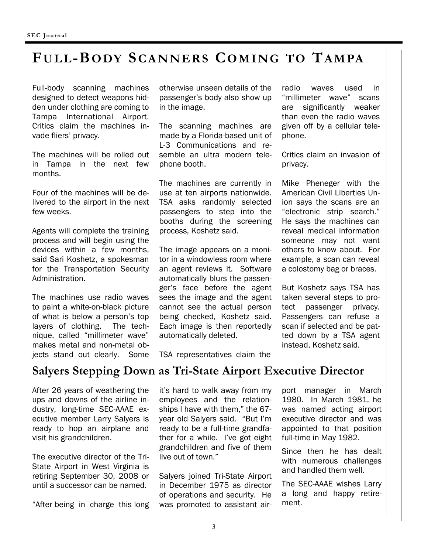# **FULL-BODY SCANNERS COMING TO TAMPA**

Full-body scanning machines designed to detect weapons hidden under clothing are coming to Tampa International Airport. Critics claim the machines invade fliers' privacy.

The machines will be rolled out in Tampa in the next few months.

Four of the machines will be delivered to the airport in the next few weeks.

Agents will complete the training process and will begin using the devices within a few months, said Sari Koshetz, a spokesman for the Transportation Security Administration.

The machines use radio waves to paint a white-on-black picture of what is below a person's top layers of clothing. The technique, called "millimeter wave" makes metal and non-metal objects stand out clearly. Some otherwise unseen details of the passenger's body also show up in the image.

The scanning machines are made by a Florida-based unit of L-3 Communications and resemble an ultra modern telephone booth.

The machines are currently in use at ten airports nationwide. TSA asks randomly selected passengers to step into the booths during the screening process, Koshetz said.

The image appears on a monitor in a windowless room where an agent reviews it. Software automatically blurs the passenger's face before the agent sees the image and the agent cannot see the actual person being checked, Koshetz said. Each image is then reportedly automatically deleted.

radio waves used in "millimeter wave" scans are significantly weaker than even the radio waves given off by a cellular telephone.

Critics claim an invasion of privacy.

Mike Pheneger with the American Civil Liberties Union says the scans are an "electronic strip search." He says the machines can reveal medical information someone may not want others to know about. For example, a scan can reveal a colostomy bag or braces.

But Koshetz says TSA has taken several steps to protect passenger privacy. Passengers can refuse a scan if selected and be patted down by a TSA agent instead, Koshetz said.

TSA representatives claim the

### **Salyers Stepping Down as Tri-State Airport Executive Director**

After 26 years of weathering the ups and downs of the airline industry, long-time SEC-AAAE executive member Larry Salyers is ready to hop an airplane and visit his grandchildren.

The executive director of the Tri-State Airport in West Virginia is retiring September 30, 2008 or until a successor can be named.

"After being in charge this long

it's hard to walk away from my employees and the relationships I have with them," the 67 year old Salyers said. "But I'm ready to be a full-time grandfather for a while. I've got eight grandchildren and five of them live out of town."

Salyers joined Tri-State Airport in December 1975 as director of operations and security. He was promoted to assistant air-

port manager in March 1980. In March 1981, he was named acting airport executive director and was appointed to that position full-time in May 1982.

Since then he has dealt with numerous challenges and handled them well.

The SEC-AAAE wishes Larry a long and happy retirement.